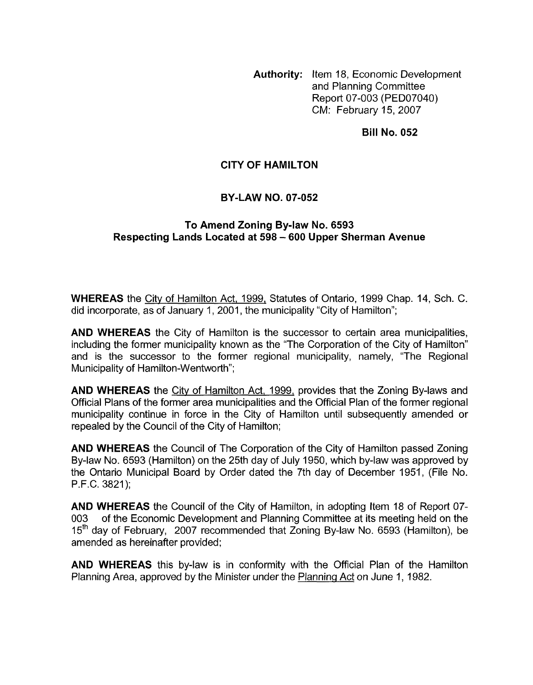**Authority:** Item 18, Economic Development and Planning Committee Report 07-003 (PED07040) CM: February 15,2007

**Bill No. 052** 

# **CITY OF HAMILTON**

#### **BY-LAW NO. 07-052**

## **To Amend Zoning Bylaw No. 6593 Respecting Lands Located at 598** - **600 Upper Sherman Avenue**

**WHEREAS** the City of Hamilton Act, 1999, Statutes of Ontario, 1999 Chap. 14, Sch. C. did incorporate, as of January 1, 2001, the municipality "City of Hamilton";

**AND WHEREAS** the City of Hamilton is the successor to certain area municipalities, including the former municipality known as the "The Corporation of the City of Hamilton" and is the successor to the former regional municipality, namely, "The Regional Municipality of Hamilton-Wentworth";

**AND WHEREAS** the City of Hamilton Act, 1999, provides that the Zoning By-laws and Official Plans of the former area municipalities and the Official Plan of the former regional municipality continue in force in the City of Hamilton until subsequently amended or repealed by the Council of the City of Hamilton;

**AND WHEREAS** the Council of The Corporation of the City of Hamilton passed Zoning By-law No. 6593 (Hamilton) on the 25th day of July 1950, which by-law was approved by the Ontario Municipal Board by Order dated the 7th day of December 1951, (File No. P.F.C. 3821);

**AND WHEREAS** the Council of the City of Hamilton, in adopting Item 18 of Report 07- 003 of the Economic Development and Planning Committee at its meeting held on the 15<sup>th</sup> day of February, 2007 recommended that Zoning By-law No. 6593 (Hamilton), be amended as hereinafter provided;

**AND WHEREAS** this by-law is in conformity with the Official Plan of the Hamilton Planning Area, approved by the Minister under the Planninq Act on June 1, 1982.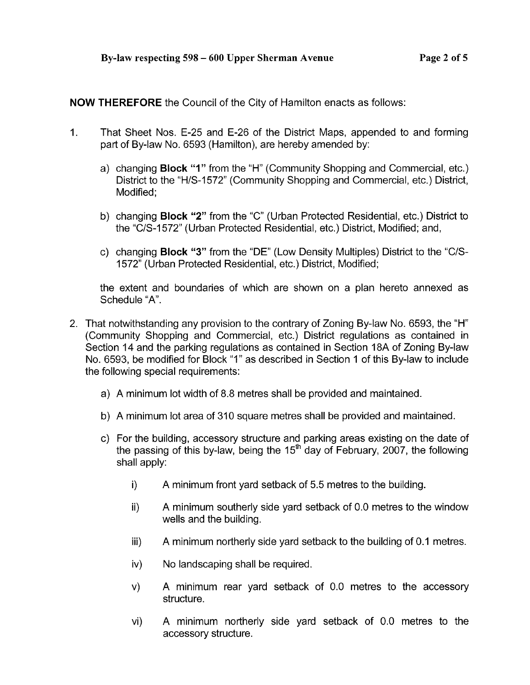**NOW THEREFORE** the Council of the City of Hamilton enacts as follows:

- 1. That Sheet Nos. E-25 and E-26 of the District Maps, appended to and forming part of By-law No. 6593 (Hamilton), are hereby amended by:
	- a) changing **Block** "I" from the "H" (Community Shopping and Commercial, etc.) District to the "H/S-1572" (Community Shopping and Commercial, etc.) District, Modified:
	- b) changing **Block "2"** from the "C" (Urban Protected Residential, etc.) District to the "C/S-I 572" (Urban Protected Residential, etc.) District, Modified; and,
	- c) changing **Block "3"** from the "DE" (Low Density Multiples) District to the "C/S-1 572" (Urban Protected Residential, etc.) District, Modified;

the extent and boundaries of which are shown on a plan hereto annexed as Schedule "A'.

- 2. That notwithstanding any provision to the contrary of Zoning By-law No. 6593, the "H" (Community Shopping and Commercial, etc.) District regulations as contained in Section 14 and the parking regulations as contained in Section 18A of Zoning By-law No. 6593, be modified for Block "I" as described in Section 1 of this By-law to include the following special requirements:
	- a) A minimum lot width of 8.8 metres shall be provided and maintained.
	- b) A minimum lot area of 310 square metres shall be provided and maintained.
	- c) For the building, accessory structure and parking areas existing on the date of the passing of this by-law, being the  $15<sup>th</sup>$  day of February, 2007, the following shall apply:
		- $\mathbf{i}$ A minimum front yard setback of 5.5 metres to the building.
		- ii) A minimum southerly side yard setback of 0.0 metres to the window wells and the building.
		- iii) A minimum northerly side yard setback to the building of 0.1 metres.
		- iv) No landscaping shall be required.
		- v) A minimum rear yard setback of 0.0 metres to the accessory structure.
		- vi) A minimum northerly side yard setback of 0.0 metres to the accessory structure.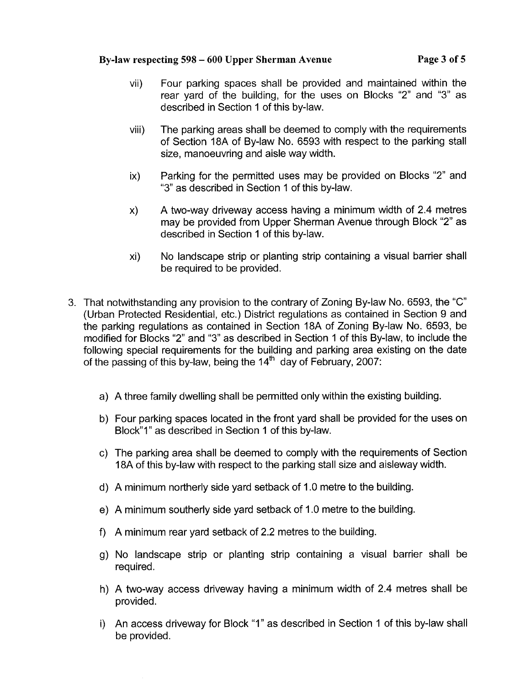### **By-law respecting 598** - **600 Upper Sherman Avenue Page 3 of 5**

- vii) Four parking spaces shall be provided and maintained within the rear yard of the building, for the uses on Blocks "2" and "3" as described in Section 1 of this by-law.
- viii) The parking areas shall be deemed to comply with the requirements of Section 18A of By-law No. 6593 with respect to the parking stall size, manoeuvring and aisle way width.
- ix) Parking for the permitted uses may be provided on Blocks "2" and "3" as described in Section 1 of this by-law.
- x) A two-way driveway access having a minimum width of 2.4 metres may be provided from Upper Sherman Avenue through Block "2" as described in Section 1 of this by-law.
- xi) No landscape strip or planting strip containing a visual barrier shall be required to be provided.
- 3. That notwithstanding any provision to the contrary of Zoning By-law No. 6593, the "C" (Urban Protected Residential, etc.) District regulations as contained in Section 9 and the parking regulations as contained in Section 18A of Zoning By-law No. 6593, be modified for Blocks "2" and "3" as described in Section 1 of this By-law, to include the following special requirements for the building and parking area existing on the date of the passing of this by-law, being the  $14<sup>th</sup>$  day of February, 2007:
	- a) A three family dwelling shall be permitted only within the existing building.
	- b) Four parking spaces located in the front yard shall be provided for the uses on Block"1" as described in Section 1 of this by-law.
	- c) The parking area shall be deemed to comply with the requirements of Section 18A of this by-law with respect to the parking stall size and aisleway width.
	- d) A minimum northerly side yard setback of 1 .O metre to the building.
	- e) A minimum southerly side yard setback of 1 .O metre to the building.
	- f) A minimum rear yard setback of 2.2 metres to the building.
	- g) No landscape strip or planting strip containing a visual barrier shall be required.
	- h) A two-way access driveway having a minimum width of 2.4 metres shall be provided.
	- i) An access driveway for Block "I" as described in Section 1 of this by-law shall be provided.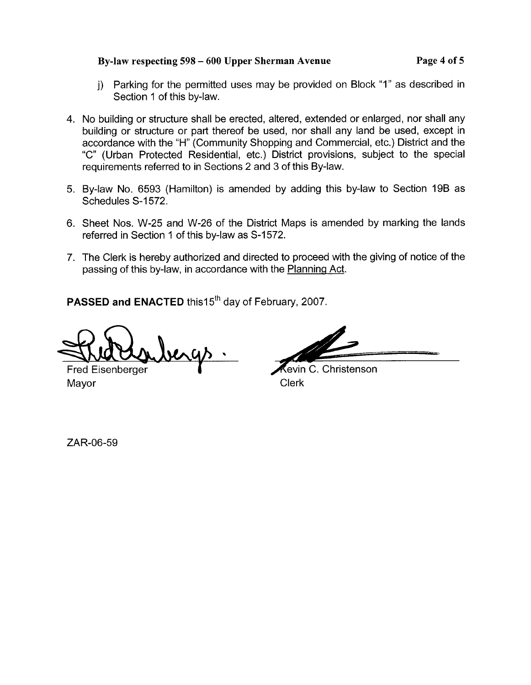# **By-law respecting 598** - **600 Upper Sherman Avenue Page 4 of 5**

- j) Parking for the permitted uses may be provided on Block "1" as described in Section 1 of this by-law.
- **4.** No building or structure shall be erected, altered, extended or enlarged, nor shall any building or structure or part thereof be used, nor shall any land be used, except in accordance with the "H" (Community Shopping and Commercial, etc.) District and the "C" (Urban Protected Residential, etc.) District provisions, subject to the special requirements referred to in Sections 2 and 3 of this By-law.
- 5. By-law No. 6593 (Hamilton) is amended by adding this by-law to Section 19B as Schedules S-1572.
- 6. Sheet Nos. W-25 and W-26 of the District Maps is amended by marking the lands referred in Section 1 of this by-law as S-1572.
- 7. The Clerk is hereby authorized and directed to proceed with the giving of notice of the passing of this by-law, in accordance with the Planning Act.

**PASSED and ENACTED** this15<sup>th</sup> day of February, 2007.

ergs

Fred Eisenberger Mayor **Clerk** 

evin C. Christenson

ZAR-06-59